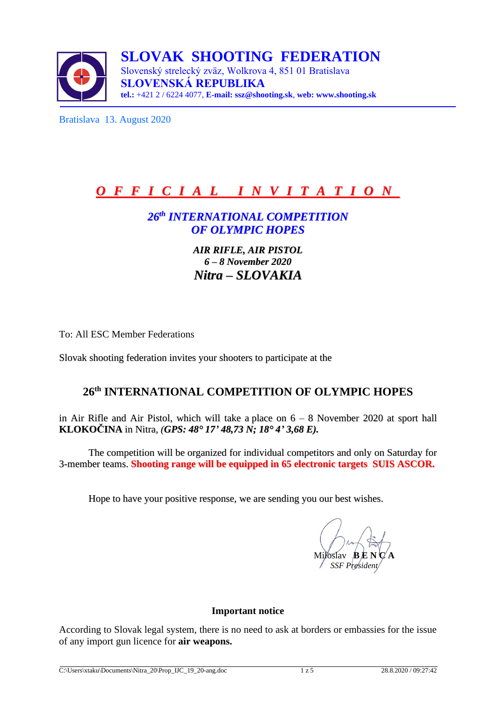

**SLOVAK SHOOTING FEDERATION** Slovenský strelecký zväz, Wolkrova 4, 851 01 Bratislava **SLOVENSKÁ REPUBLIKA tel.:** +421 2 / 6224 4077, **E-mail: [ssz@shooting.sk](mailto:ssz@shooting.sk)**, **web: [www.shooting.sk](http://www.shooting.sk/)**

Bratislava 13. August 2020

# *O F F I C I A L I N V I T A T I O N*

## *26 th INTERNATIONAL COMPETITION OF OLYMPIC HOPES*

*AIR RIFLE, AIR PISTOL 6 – 8 November 2020 Nitra – SLOVAKIA*

To: All ESC Member Federations

Slovak shooting federation invites your shooters to participate at the

## **26 th INTERNATIONAL COMPETITION OF OLYMPIC HOPES**

in Air Rifle and Air Pistol, which will take a place on  $6 - 8$  November 2020 at sport hall **KLOKOČINA** in Nitra*, (GPS: 48° 17' 48,73 N; 18° 4' 3,68 E).*

The competition will be organized for individual competitors and only on Saturday for 3-member teams. **Shooting range will be equipped in 65 electronic targets SUIS ASCOR.**

Hope to have your positive response, we are sending you our best wishes.

Miloslav **B***E* N *SSF President* 

#### **Important notice**

According to Slovak legal system, there is no need to ask at borders or embassies for the issue of any import gun licence for **air weapons.**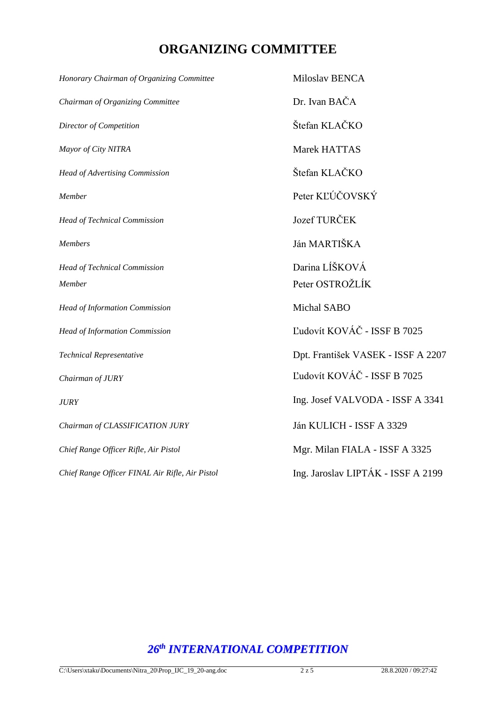## **ORGANIZING COMMITTEE**

| Honorary Chairman of Organizing Committee       | Miloslav BENCA                     |
|-------------------------------------------------|------------------------------------|
| Chairman of Organizing Committee                | Dr. Ivan BAČA                      |
| Director of Competition                         | Štefan KLAČKO                      |
| Mayor of City NITRA                             | Marek HATTAS                       |
| <b>Head of Advertising Commission</b>           | Štefan KLAČKO                      |
| Member                                          | Peter KĽÚČOVSKÝ                    |
| <b>Head of Technical Commission</b>             | <b>Jozef TURČEK</b>                |
| <b>Members</b>                                  | Ján MARTIŠKA                       |
| <b>Head of Technical Commission</b>             | Darina LÍŠKOVÁ                     |
| Member                                          | Peter OSTROŽLÍK                    |
| Head of Information Commission                  | Michal SABO                        |
| <b>Head of Information Commission</b>           | Ľudovít KOVÁČ - ISSF B 7025        |
| Technical Representative                        | Dpt. František VASEK - ISSF A 2207 |
| Chairman of JURY                                | Ľudovít KOVÁČ - ISSF B 7025        |
| <b>JURY</b>                                     | Ing. Josef VALVODA - ISSF A 3341   |
| Chairman of CLASSIFICATION JURY                 | Ján KULICH - ISSF A 3329           |
| Chief Range Officer Rifle, Air Pistol           | Mgr. Milan FIALA - ISSF A 3325     |
| Chief Range Officer FINAL Air Rifle, Air Pistol | Ing. Jaroslav LIPTÁK - ISSF A 2199 |

## *26 th INTERNATIONAL COMPETITION*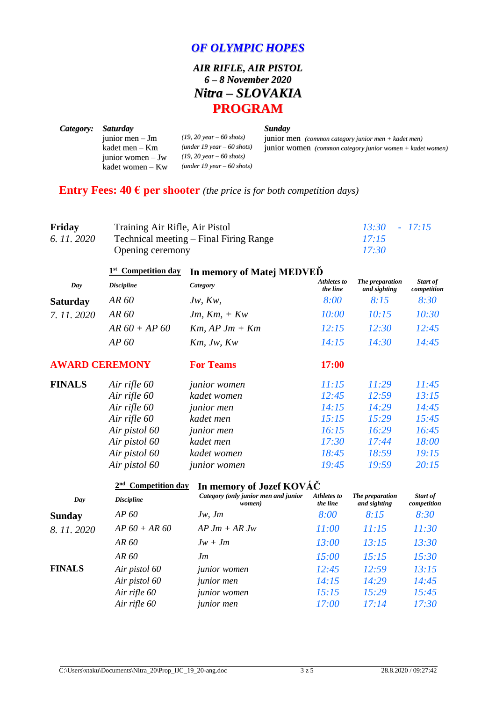### *OF OLYMPIC HOPES*

## *AIR RIFLE, AIR PISTOL 6 – 8 November 2020 Nitra – SLOVAKIA* **PROGRAM**

|                                                                                                  | Sunday                                                                                                                                                   |
|--------------------------------------------------------------------------------------------------|----------------------------------------------------------------------------------------------------------------------------------------------------------|
|                                                                                                  | junior men (common category junior men + kadet men)                                                                                                      |
|                                                                                                  | <b>junior</b> women (common category junior women $+$ kadet women)                                                                                       |
|                                                                                                  |                                                                                                                                                          |
|                                                                                                  |                                                                                                                                                          |
| <i>Saturday</i><br>junior men $-$ Jm<br>kadet men – Km<br>junior women $-Jw$<br>kadet women – Kw | $(19, 20 \text{ year} - 60 \text{ shots})$<br>$(under 19 year - 60 shots)$<br>$(19, 20 \text{ year} - 60 \text{ shots})$<br>$(under 19 year - 60 shots)$ |

## **Entry Fees: 40**  $\epsilon$  **per shooter** *(the price is for both competition days)*

| Friday      | Training Air Rifle, Air Pistol         | $13:30 - 17:15$ |
|-------------|----------------------------------------|-----------------|
| 6. 11. 2020 | Technical meeting – Final Firing Range | 17:15           |
|             | Opening ceremony                       | 17:30           |

|                       | <b>Competition day</b><br>1 <sup>st</sup> | In memory of Matej MEDVED |                         |                                 |                         |  |  |
|-----------------------|-------------------------------------------|---------------------------|-------------------------|---------------------------------|-------------------------|--|--|
| Day                   | <b>Discipline</b>                         | Category                  | Athletes to<br>the line | The preparation<br>and sighting | Start of<br>competition |  |  |
| <b>Saturday</b>       | AR 60                                     | Jw, Kw,                   | 8:00                    | 8:15                            | 8:30                    |  |  |
| 7.11.2020             | AR 60                                     | $Jm, Km, + Kw$            | 10:00                   | 10:15                           | 10:30                   |  |  |
|                       | $AR 60 + AP 60$                           | $Km$ , AP J $m + Km$      | 12:15                   | 12:30                           | 12:45                   |  |  |
|                       | AP 60                                     | 14:15<br>$Km$ , Jw, $Kw$  |                         | 14:30                           | 14:45                   |  |  |
| <b>AWARD CEREMONY</b> |                                           | <b>For Teams</b>          | 17:00                   |                                 |                         |  |  |
| <b>FINALS</b>         | Air rifle 60                              | <i>junior</i> women       | 11:15                   | 11:29                           | 11:45                   |  |  |
|                       | Air rifle 60                              | kadet women               | 12:45                   | 12:59                           | 13:15                   |  |  |
|                       | Air rifle 60                              | <i>junior men</i>         | 14:15                   | 14:29                           | 14:45                   |  |  |
|                       | Air rifle 60                              | kadet men                 | 15:15                   | 15:29                           | 15:45                   |  |  |
|                       | Air pistol 60                             | <i>junior men</i>         | 16:15                   | 16:29                           | 16:45                   |  |  |
|                       | Air pistol 60                             | kadet men                 | 17:30                   | 17:44                           | 18:00                   |  |  |
|                       | Air pistol 60                             | kadet women               | 18:45                   | 18:59                           | 19:15                   |  |  |
|                       | Air pistol 60                             | <i>junior</i> women       | 19:45                   | 19:59                           | 20:15                   |  |  |

#### **2 nd Competition day In memory of Jozef KOVÁČ**

| Day           | <b>Discipline</b> | Category (only junior men and junior<br>women) | Athletes to<br>the line | The preparation<br>and sighting | Start of<br>competition |
|---------------|-------------------|------------------------------------------------|-------------------------|---------------------------------|-------------------------|
| <b>Sunday</b> | AP 60             | $Jw$ , $Jm$                                    | 8:00                    | 8:15                            | 8:30                    |
| 8.11.2020     | $AP\,60 + AR\,60$ | $AP \, Jm + AR \, Jw$                          | 11:00                   | 11:15                           | 11:30                   |
|               | AR 60             | $Jw + Jm$                                      | 13:00                   | 13:15                           | 13:30                   |
|               | AR 60             | Jm                                             | 15:00                   | 15:15                           | 15:30                   |
| <b>FINALS</b> | Air pistol 60     | <i>junior</i> women                            | 12:45                   | 12:59                           | 13:15                   |
|               | Air pistol 60     | <i>junior</i> men                              | 14:15                   | 14:29                           | 14:45                   |
|               | Air rifle 60      | junior women                                   | 15:15                   | 15:29                           | 15:45                   |
|               | Air rifle 60      | <i>junior</i> men                              | 17:00                   | 17:14                           | 17:30                   |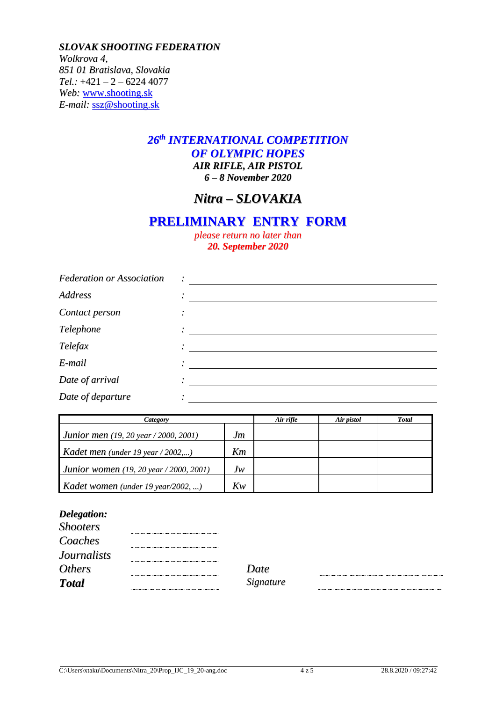*SLOVAK SHOOTING FEDERATION Wolkrova 4, 851 01 Bratislava, Slovakia Tel.:* +421 – 2 – 6224 4077 *Web:* [www.shooting.sk](http://www.shooting.sk/) *E-mail:* [ssz@shooting.sk](mailto:ssz@shooting.sk)

## *26 th INTERNATIONAL COMPETITION OF OLYMPIC HOPES AIR RIFLE, AIR PISTOL*

*6 – 8 November 2020*

## *Nitra – SLOVAKIA*

## **PRELIMINARY ENTRY FORM**

*please return no later than 20. September 2020*

| <b>Federation or Association</b> | $\ddot{\cdot}$ |
|----------------------------------|----------------|
| <b>Address</b>                   |                |
| Contact person                   | $\bullet$      |
| Telephone                        |                |
| Telefax                          |                |
| E-mail                           |                |
| Date of arrival                  |                |
| Date of departure                |                |

| Category                                       |         | Air rifle | Air pistol | <b>Total</b> |
|------------------------------------------------|---------|-----------|------------|--------------|
| <b>Junior men</b> (19, 20 year / 2000, 2001)   | Jm      |           |            |              |
| Kadet men (under 19 year / 2002,)              | Km      |           |            |              |
| <b>Junior women</b> (19, 20 year / 2000, 2001) | $J_{W}$ |           |            |              |
| Kadet women (under 19 year/2002, )             | Kw      |           |            |              |

#### *Delegation:*

| Date  |
|-------|
| Signa |
|       |

*Total Signature*